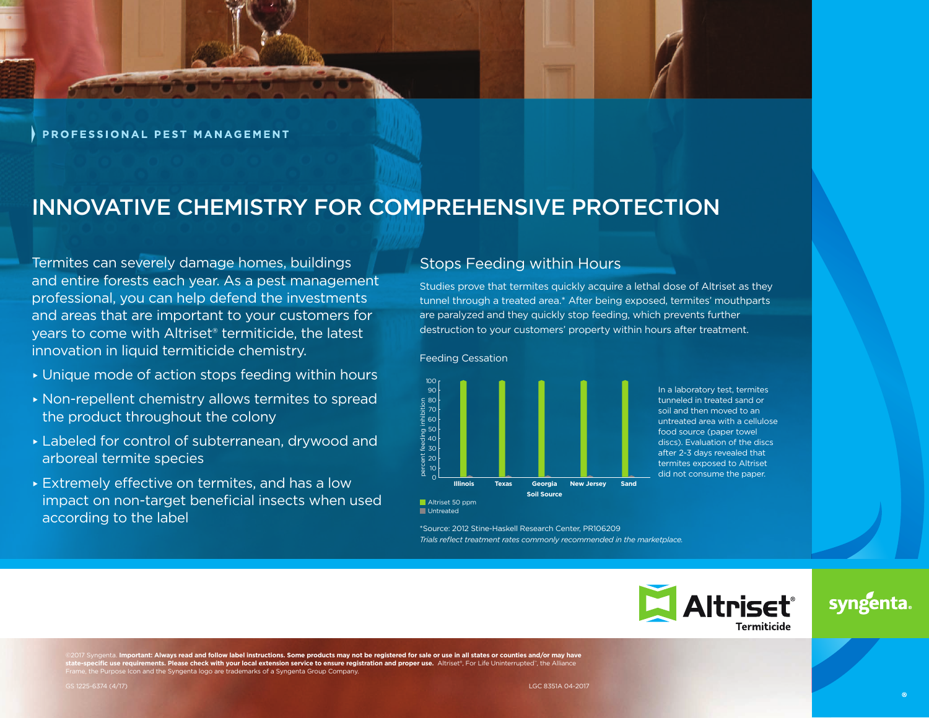

PROFESSIONAL PEST MANAGEMENT

## INNOVATIVE CHEMISTRY FOR COMPREHENSIVE PROTECTION

Termites can severely damage homes, buildings and entire forests each year. As a pest management professional, you can help defend the investments and areas that are important to your customers for years to come with Altriset® termiticide, the latest innovation in liquid termiticide chemistry.

- ▸ Unique mode of action stops feeding within hours
- ▸ Non-repellent chemistry allows termites to spread the product throughout the colony
- ▸ Labeled for control of subterranean, drywood and arboreal termite species
- ▸ Extremely effective on termites, and has a low impact on non-target beneficial insects when used according to the label

### Stops Feeding within Hours

Studies prove that termites quickly acquire a lethal dose of Altriset as they tunnel through a treated area.\* After being exposed, termites' mouthparts are paralyzed and they quickly stop feeding, which prevents further destruction to your customers' property within hours after treatment.

#### Feeding Cessation

**Untreated** 



\*Source: 2012 Stine-Haskell Research Center, PR106209

*Trials reflect treatment rates commonly recommended in the marketplace.*

In a laboratory test, termites tunneled in treated sand or soil and then moved to an untreated area with a cellulose food source (paper towel discs). Evaluation of the discs after 2-3 days revealed that termites exposed to Altriset did not consume the paper.

**Itriset**® Termiticide

# syngenta

©2017 Syngenta. I**mportant: Always read and follow label instructions. Some products may not be registered for sale or use in all states or counties and/or may have<br>state-specific use requirements. Please check with your l** Frame, the Purpose Icon and the Syngenta logo are trademarks of a Syngenta Group Company.